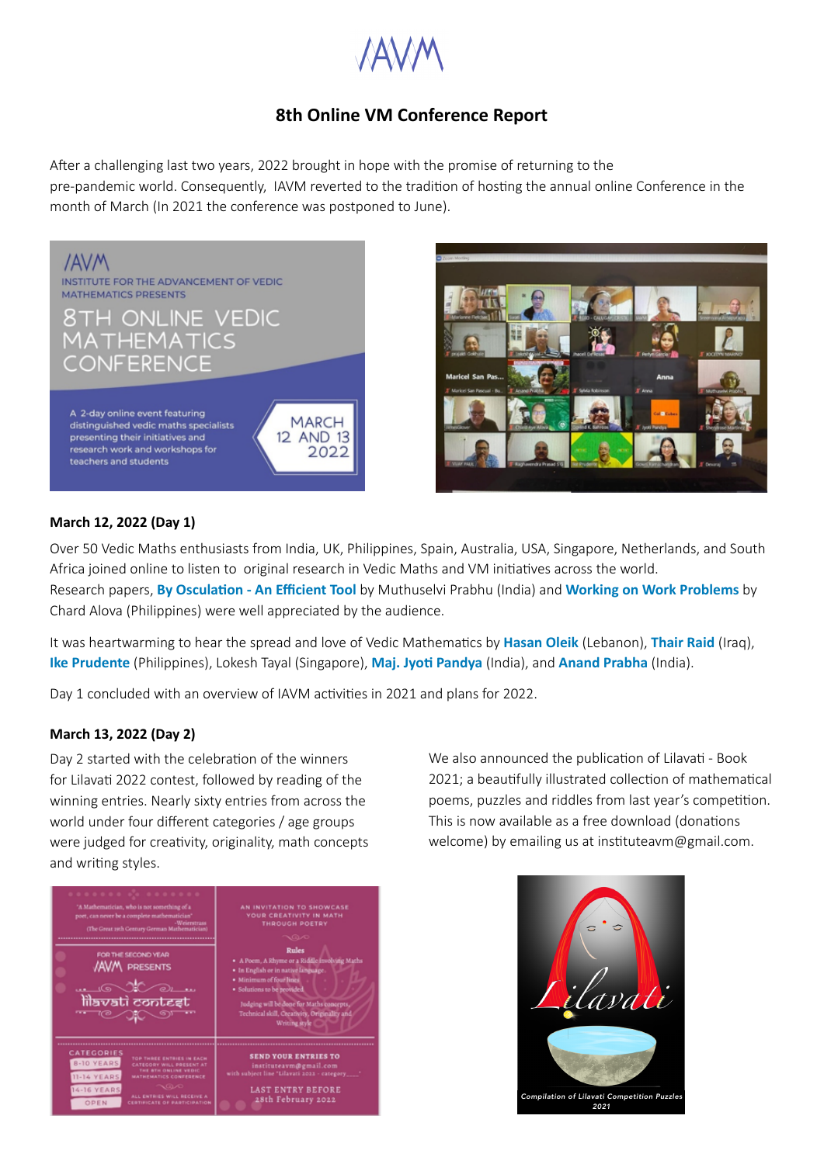

# **8th Online VM Conference Report**

After a challenging last two years, 2022 brought in hope with the promise of returning to the pre-pandemic world. Consequently, IAVM reverted to the tradition of hosting the annual online Conference in the month of March (In 2021 the conference was postponed to June).





#### **March 12, 2022 (Day 1)**

Over 50 Vedic Maths enthusiasts from India, UK, Philippines, Spain, Australia, USA, Singapore, Netherlands, and South Africa joined online to listen to original research in Vedic Maths and VM initiatives across the world. Research papers, **[By Osculation - An Efficient Tool](https://www.youtube.com/watch?v=zpkSUaKpxtM&list=PLl24YG5lHNh73_wU42ilRrwRujUh0sqTB&index=12)** by Muthuselvi Prabhu (India) and **[Working on Work Problems](https://www.youtube.com/watch?v=aoSO16BtLgM&list=PLl24YG5lHNh73_wU42ilRrwRujUh0sqTB&index=11)** by Chard Alova (Philippines) were well appreciated by the audience.

It was heartwarming to hear the spread and love of Vedic Mathematics by **[Hasan Oleik](https://www.youtube.com/watch?v=2I0ORkdzpDw)** (Lebanon), **[Thair Raid](https://www.youtube.com/watch?v=EbGDzkC9ntI&list=PLl24YG5lHNh73_wU42ilRrwRujUh0sqTB&index=9)** (Iraq), **[Ike Prudente](https://www.youtube.com/watch?v=jF6lSiw-ksw&list=PLl24YG5lHNh73_wU42ilRrwRujUh0sqTB&index=4)** (Philippines), Lokesh Tayal (Singapore), **[Maj. Jyoti Pandya](https://www.youtube.com/watch?v=gFWPLP5sJ5c&list=PLl24YG5lHNh73_wU42ilRrwRujUh0sqTB&index=5)** (India), and **[Anand Prabha](https://www.youtube.com/watch?v=CQ92n1nSmyc&list=PLl24YG5lHNh73_wU42ilRrwRujUh0sqTB&index=3)** (India).

Day 1 concluded with an overview of IAVM activities in 2021 and plans for 2022.

#### **March 13, 2022 (Day 2)**

Day 2 started with the celebration of the winners for Lilavati 2022 contest, followed by reading of the winning entries. Nearly sixty entries from across the world under four different categories / age groups were judged for creativity, originality, math concepts and writing styles.



We also announced the publication of Lilavati - Book 2021; a beautifully illustrated collection of mathematical poems, puzzles and riddles from last year's competition. This is now available as a free download (donations welcome) by emailing us at instituteavm@gmail.com.